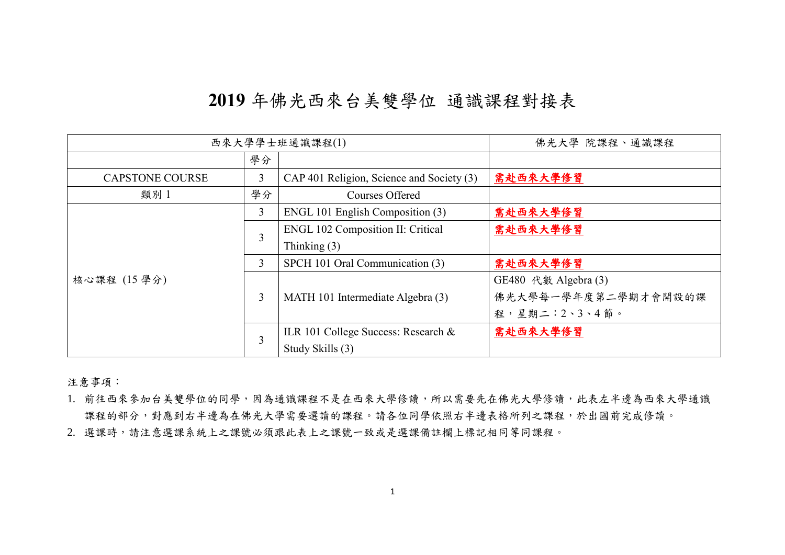## **2019** 年佛光西來台美雙學位 通識課程對接表

| 西來大學學士班通識課程(1)              |    |                                           | 佛光大學 院課程、通識課程        |
|-----------------------------|----|-------------------------------------------|----------------------|
|                             | 學分 |                                           |                      |
| 3<br><b>CAPSTONE COURSE</b> |    | CAP 401 Religion, Science and Society (3) | 需赴西來大學修習             |
| 學分<br>類別 1                  |    | Courses Offered                           |                      |
|                             | 3  | ENGL 101 English Composition (3)          | 需赴西來大學修習             |
|                             | 3  | <b>ENGL 102 Composition II: Critical</b>  | 需赴西來大學修習             |
|                             |    | Thinking $(3)$                            |                      |
|                             | 3  | SPCH 101 Oral Communication (3)           | 需赴西來大學修習             |
| 核心課程 (15學分)                 | 3  |                                           | GE480 代數 Algebra (3) |
|                             |    | MATH 101 Intermediate Algebra (3)         | 佛光大學每一學年度第二學期才會開設的課  |
|                             |    |                                           | 程,星期二: 2、3、4節。       |
|                             | 3  | ILR 101 College Success: Research &       | 需赴西來大學修習             |
|                             |    | Study Skills (3)                          |                      |

注意事項:

1. 前往西來參加台美雙學位的同學,因為通識課程不是在西來大學修讀,所以需要先在佛光大學修讀,此表左半邊為西來大學通識 課程的部分,對應到右半邊為在佛光大學需要選讀的課程。請各位同學依照右半邊表格所列之課程,於出國前完成修讀。

2. 選課時,請注意選課系統上之課號比表上之課號一致或是選課備註欄上標記相同等同課程。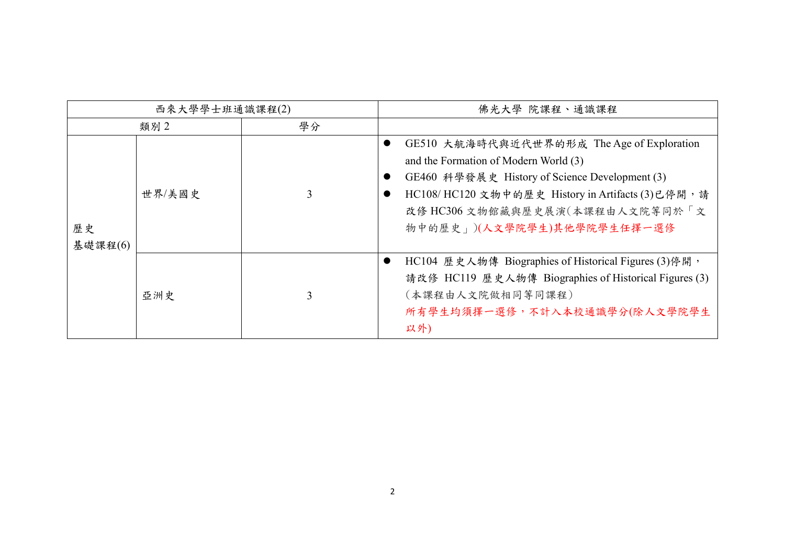| 西來大學學士班通識課程(2) |        |   | 佛光大學 院課程、通識課程                                                                                                                                                                                                                                               |
|----------------|--------|---|-------------------------------------------------------------------------------------------------------------------------------------------------------------------------------------------------------------------------------------------------------------|
| 學分<br>類別2      |        |   |                                                                                                                                                                                                                                                             |
| 歷史<br>基礎課程(6)  | 世界/美國史 |   | GE510 大航海時代與近代世界的形成 The Age of Exploration<br>and the Formation of Modern World (3)<br>GE460 科學發展史 History of Science Development (3)<br>HC108/HC120 文物中的歷史 History in Artifacts (3)已停開, 請<br>改修 HC306 文物館藏與歷史展演(本課程由人文院等同於「文<br>物中的歷史」)(人文學院學生)其他學院學生任擇一選修 |
|                | 亞洲史    | 3 | HC104 歷史人物傳 Biographies of Historical Figures (3)停開,<br>請改修 HC119 歷史人物傳 Biographies of Historical Figures (3)<br>(本課程由人文院做相同等同課程)<br>所有學生均須擇一選修,不計入本校通識學分(除人文學院學生<br>以外)                                                                                    |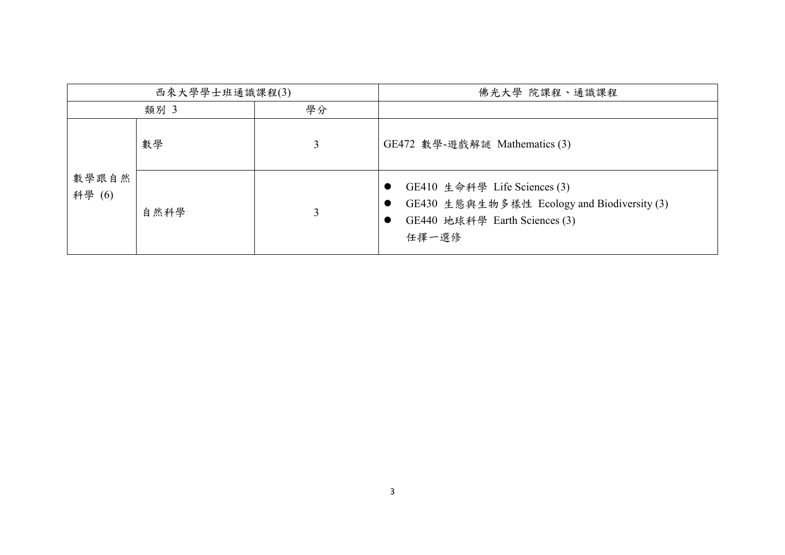| 西來大學學士班通識課程(3)  |      |    | 佛光大學 院課程、通識課程                                                                                                         |
|-----------------|------|----|-----------------------------------------------------------------------------------------------------------------------|
|                 | 類別 3 | 學分 |                                                                                                                       |
|                 | 數學   | 3  | GE472 數學-遊戲解謎 Mathematics (3)                                                                                         |
| 數學跟自然<br>科學 (6) | 自然科學 | 3  | GE410 生命科學 Life Sciences (3)<br>GE430 生態與生物多樣性 Ecology and Biodiversity (3)<br>GE440 地球科學 Earth Sciences (3)<br>任擇一選修 |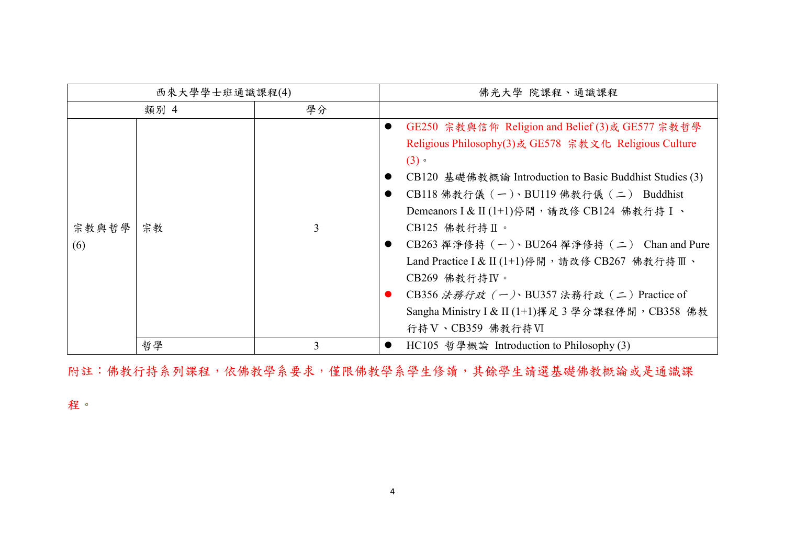| 西來大學學士班通識課程(4) |      |    | 佛光大學 院課程、通識課程                                                                                                                                                                                                                                                                                                                                                                                                                                                                                                                                                         |
|----------------|------|----|-----------------------------------------------------------------------------------------------------------------------------------------------------------------------------------------------------------------------------------------------------------------------------------------------------------------------------------------------------------------------------------------------------------------------------------------------------------------------------------------------------------------------------------------------------------------------|
|                | 類別 4 | 學分 |                                                                                                                                                                                                                                                                                                                                                                                                                                                                                                                                                                       |
| 宗教與哲學<br>(6)   | 宗教   | 3  | GE250 宗教與信仰 Religion and Belief (3)或 GE577 宗教哲學<br>$\bullet$<br>Religious Philosophy(3)或 GE578 宗教文化 Religious Culture<br>(3)<br>CB120 基礎佛教概論 Introduction to Basic Buddhist Studies (3)<br>$\bullet$<br>CB118 佛教行儀 (一)、BU119 佛教行儀 (二) Buddhist<br>Demeanors I & II (1+1) 停開, 請改修 CB124 佛教行持 I 、<br>$CB125$ 佛教行持Ⅱ。<br>CB263 禪淨修持 (一)、BU264 禪淨修持 (二) Chan and Pure<br>Land Practice I & II (1+1) 停開, 請改修 CB267 佛教行持Ⅲ、<br>$CB269$ 佛教行持 $IV \cdot$<br>CB356 法務行政 (一)、BU357 法務行政 (二) Practice of<br>Sangha Ministry I & II (1+1) 擇足3學分課程停開, CB358 佛教<br>行持 V、CB359 佛教行持 VI |
|                | 哲學   | 3  | HC105 哲學概論 Introduction to Philosophy (3)<br>$\bullet$                                                                                                                                                                                                                                                                                                                                                                                                                                                                                                                |

附註:佛教行持系列課程,依佛教學系。僅限佛教學系學生修讀,其餘學生請選基礎佛教概論或是通識課

程。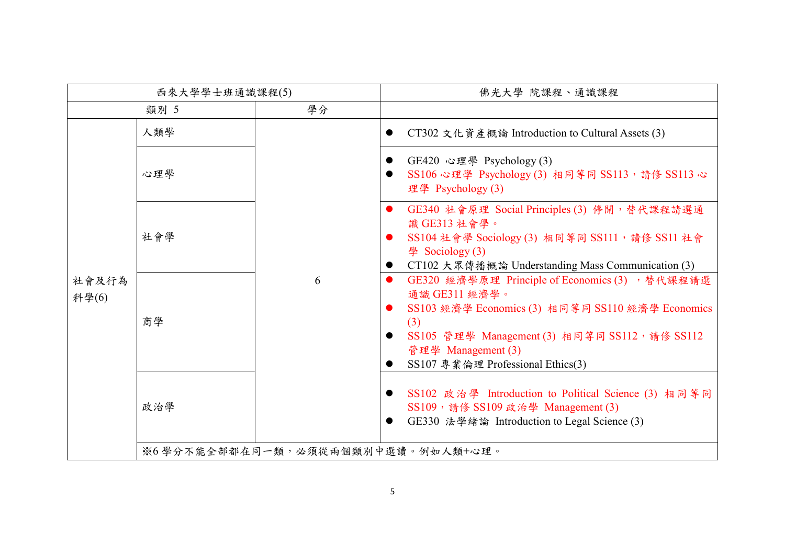| 西來大學學士班通識課程(5) |                                   |    | 佛光大學 院課程、通識課程                                                                                                                                                                                                                           |  |
|----------------|-----------------------------------|----|-----------------------------------------------------------------------------------------------------------------------------------------------------------------------------------------------------------------------------------------|--|
|                | 類別 5                              | 學分 |                                                                                                                                                                                                                                         |  |
| 社會及行為<br>科學(6) | 人類學                               |    | CT302 文化資產概論 Introduction to Cultural Assets (3)                                                                                                                                                                                        |  |
|                | 心理學                               | 6  | GE420 心理學 Psychology (3)<br>SS106 心理學 Psychology (3) 相同等同 SS113, 請修 SS113 心<br>理學 Psychology (3)                                                                                                                                        |  |
|                | 社會學                               |    | GE340 社會原理 Social Principles (3) 停開,替代課程請選通<br>識 GE313 社會學。<br>SS104 社會學 Sociology (3) 相同等同 SS111, 請修 SS11 社會<br>學 Sociology (3)<br>CT102 大眾傳播概論 Understanding Mass Communication (3)                                                   |  |
|                | 商學                                |    | GE320 經濟學原理 Principle of Economics (3) , 替代課程請選<br>通識 GE311 經濟學。<br>SS103 經濟學 Economics (3) 相同等同 SS110 經濟學 Economics<br>(3)<br>SS105 管理學 Management (3) 相同等同 SS112, 請修 SS112<br>管理學 Management (3)<br>SS107 專業倫理 Professional Ethics(3) |  |
|                | 政治學                               |    | SS102 政治學 Introduction to Political Science (3) 相同等同<br>SS109, 請修 SS109 政治學 Management (3)<br>GE330 法學緒論 Introduction to Legal Science (3)                                                                                              |  |
|                | ※6學分不能全部都在同一類,必須從兩個類別中選讀。例如人類+心理。 |    |                                                                                                                                                                                                                                         |  |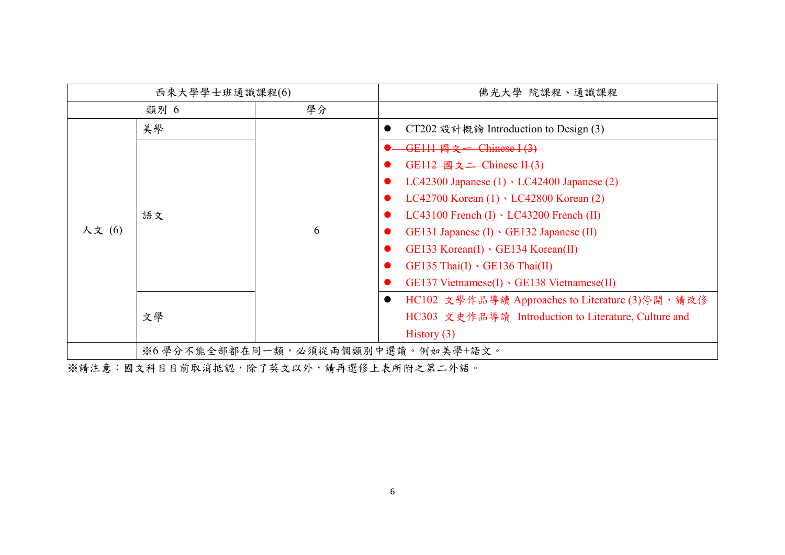| 西來大學學士班通識課程(6)    |                                   |    | 佛光大學 院課程、通識課程                                                 |
|-------------------|-----------------------------------|----|---------------------------------------------------------------|
|                   | 類別 6                              | 學分 |                                                               |
|                   | 美學                                |    | CT202 設計概論 Introduction to Design (3)                         |
|                   |                                   |    | GE111 $\overline{\mathbb{B} \times}$ Chinese I (3)            |
|                   |                                   |    | GE112 $\mathbb{R} \times 2$ Chinese II (3)                    |
|                   |                                   |    | LC42300 Japanese $(1) \cdot$ LC42400 Japanese $(2)$           |
| 語文<br>人文(6)<br>文學 |                                   |    | LC42700 Korean $(1)$ · LC42800 Korean $(2)$                   |
|                   |                                   |    | LC43100 French $(I) \cdot$ LC43200 French $(II)$              |
|                   |                                   | 6  | GE131 Japanese $(I) \cdot$ GE132 Japanese $(II)$              |
|                   |                                   |    | GE133 Korean(I) GE134 Korean(II)                              |
|                   |                                   |    | $GE135$ Thai $(I) \cdot GE136$ Thai $(II)$                    |
|                   |                                   |    | $GE137$ Vietnamese $(I) \cdot GE138$ Vietnamese $(II)$        |
|                   |                                   |    | HC102 文學作品導讀 Approaches to Literature (3)停開, 請改修<br>$\bullet$ |
|                   |                                   |    | HC303 文史作品導讀 Introduction to Literature, Culture and          |
|                   |                                   |    | History $(3)$                                                 |
|                   | ※6學分不能全部都在同一類,必須從兩個類別中選讀。例如美學+語文。 |    |                                                               |

※請注意:國文科目目前取消抵認,除了英文以外,請再選修上表所附之第二外語。